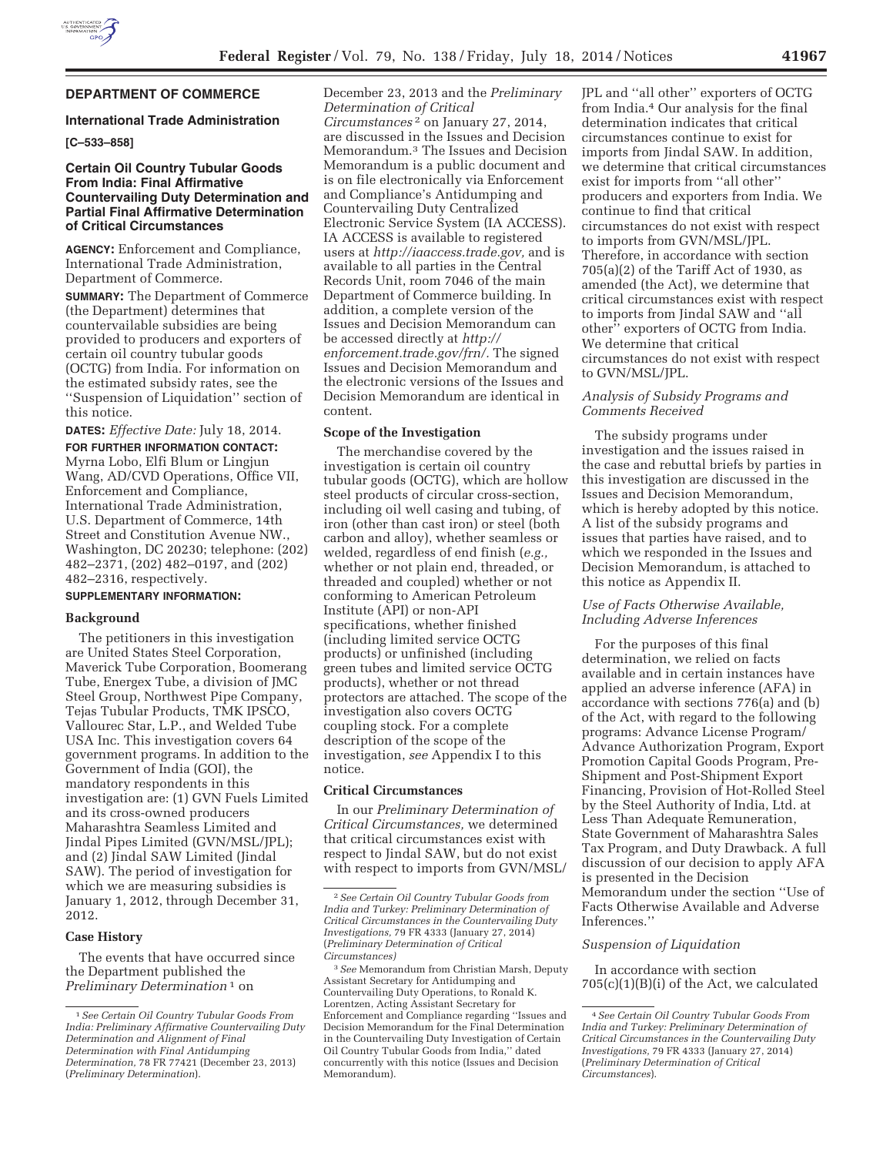### **DEPARTMENT OF COMMERCE**

### **International Trade Administration**

## **[C–533–858]**

## **Certain Oil Country Tubular Goods From India: Final Affirmative Countervailing Duty Determination and Partial Final Affirmative Determination of Critical Circumstances**

**AGENCY:** Enforcement and Compliance, International Trade Administration, Department of Commerce.

**SUMMARY:** The Department of Commerce (the Department) determines that countervailable subsidies are being provided to producers and exporters of certain oil country tubular goods (OCTG) from India. For information on the estimated subsidy rates, see the ''Suspension of Liquidation'' section of this notice.

**DATES:** *Effective Date:* July 18, 2014.

**FOR FURTHER INFORMATION CONTACT:**  Myrna Lobo, Elfi Blum or Lingjun Wang, AD/CVD Operations, Office VII, Enforcement and Compliance, International Trade Administration, U.S. Department of Commerce, 14th Street and Constitution Avenue NW., Washington, DC 20230; telephone: (202) 482–2371, (202) 482–0197, and (202) 482–2316, respectively.

# **SUPPLEMENTARY INFORMATION:**

#### **Background**

The petitioners in this investigation are United States Steel Corporation, Maverick Tube Corporation, Boomerang Tube, Energex Tube, a division of JMC Steel Group, Northwest Pipe Company, Tejas Tubular Products, TMK IPSCO, Vallourec Star, L.P., and Welded Tube USA Inc. This investigation covers 64 government programs. In addition to the Government of India (GOI), the mandatory respondents in this investigation are: (1) GVN Fuels Limited and its cross-owned producers Maharashtra Seamless Limited and Jindal Pipes Limited (GVN/MSL/JPL); and (2) Jindal SAW Limited (Jindal SAW). The period of investigation for which we are measuring subsidies is January 1, 2012, through December 31, 2012.

### **Case History**

The events that have occurred since the Department published the *Preliminary Determination* 1 on

December 23, 2013 and the *Preliminary Determination of Critical Circumstances* 2 on January 27, 2014, are discussed in the Issues and Decision Memorandum.3 The Issues and Decision Memorandum is a public document and is on file electronically via Enforcement and Compliance's Antidumping and Countervailing Duty Centralized Electronic Service System (IA ACCESS). IA ACCESS is available to registered users at *http://iaaccess.trade.gov,* and is available to all parties in the Central Records Unit, room 7046 of the main Department of Commerce building. In addition, a complete version of the Issues and Decision Memorandum can be accessed directly at *http:// enforcement.trade.gov/frn/.* The signed Issues and Decision Memorandum and the electronic versions of the Issues and Decision Memorandum are identical in content.

#### **Scope of the Investigation**

The merchandise covered by the investigation is certain oil country tubular goods (OCTG), which are hollow steel products of circular cross-section, including oil well casing and tubing, of iron (other than cast iron) or steel (both carbon and alloy), whether seamless or welded, regardless of end finish (*e.g.,*  whether or not plain end, threaded, or threaded and coupled) whether or not conforming to American Petroleum Institute (API) or non-API specifications, whether finished (including limited service OCTG products) or unfinished (including green tubes and limited service OCTG products), whether or not thread protectors are attached. The scope of the investigation also covers OCTG coupling stock. For a complete description of the scope of the investigation, *see* Appendix I to this notice.

### **Critical Circumstances**

In our *Preliminary Determination of Critical Circumstances,* we determined that critical circumstances exist with respect to Jindal SAW, but do not exist with respect to imports from GVN/MSL/

JPL and ''all other'' exporters of OCTG from India.4 Our analysis for the final determination indicates that critical circumstances continue to exist for imports from Jindal SAW. In addition, we determine that critical circumstances exist for imports from ''all other'' producers and exporters from India. We continue to find that critical circumstances do not exist with respect to imports from GVN/MSL/JPL. Therefore, in accordance with section 705(a)(2) of the Tariff Act of 1930, as amended (the Act), we determine that critical circumstances exist with respect to imports from Jindal SAW and ''all other'' exporters of OCTG from India. We determine that critical circumstances do not exist with respect to GVN/MSL/JPL.

### *Analysis of Subsidy Programs and Comments Received*

The subsidy programs under investigation and the issues raised in the case and rebuttal briefs by parties in this investigation are discussed in the Issues and Decision Memorandum, which is hereby adopted by this notice. A list of the subsidy programs and issues that parties have raised, and to which we responded in the Issues and Decision Memorandum, is attached to this notice as Appendix II.

### *Use of Facts Otherwise Available, Including Adverse Inferences*

For the purposes of this final determination, we relied on facts available and in certain instances have applied an adverse inference (AFA) in accordance with sections 776(a) and (b) of the Act, with regard to the following programs: Advance License Program/ Advance Authorization Program, Export Promotion Capital Goods Program, Pre-Shipment and Post-Shipment Export Financing, Provision of Hot-Rolled Steel by the Steel Authority of India, Ltd. at Less Than Adequate Remuneration, State Government of Maharashtra Sales Tax Program, and Duty Drawback. A full discussion of our decision to apply AFA is presented in the Decision Memorandum under the section ''Use of Facts Otherwise Available and Adverse Inferences.''

#### *Suspension of Liquidation*

In accordance with section  $705(c)(1)(B)(i)$  of the Act, we calculated

<sup>1</sup>*See Certain Oil Country Tubular Goods From India: Preliminary Affirmative Countervailing Duty Determination and Alignment of Final Determination with Final Antidumping Determination,* 78 FR 77421 (December 23, 2013) (*Preliminary Determination*).

<sup>2</sup>*See Certain Oil Country Tubular Goods from India and Turkey: Preliminary Determination of Critical Circumstances in the Countervailing Duty Investigations,* 79 FR 4333 (January 27, 2014) (*Preliminary Determination of Critical Circumstances)* 

<sup>3</sup>*See* Memorandum from Christian Marsh, Deputy Assistant Secretary for Antidumping and Countervailing Duty Operations, to Ronald K. Lorentzen, Acting Assistant Secretary for Enforcement and Compliance regarding ''Issues and Decision Memorandum for the Final Determination in the Countervailing Duty Investigation of Certain Oil Country Tubular Goods from India,'' dated concurrently with this notice (Issues and Decision Memorandum).

<sup>4</sup>*See Certain Oil Country Tubular Goods From India and Turkey: Preliminary Determination of Critical Circumstances in the Countervailing Duty Investigations,* 79 FR 4333 (January 27, 2014) (*Preliminary Determination of Critical Circumstances*).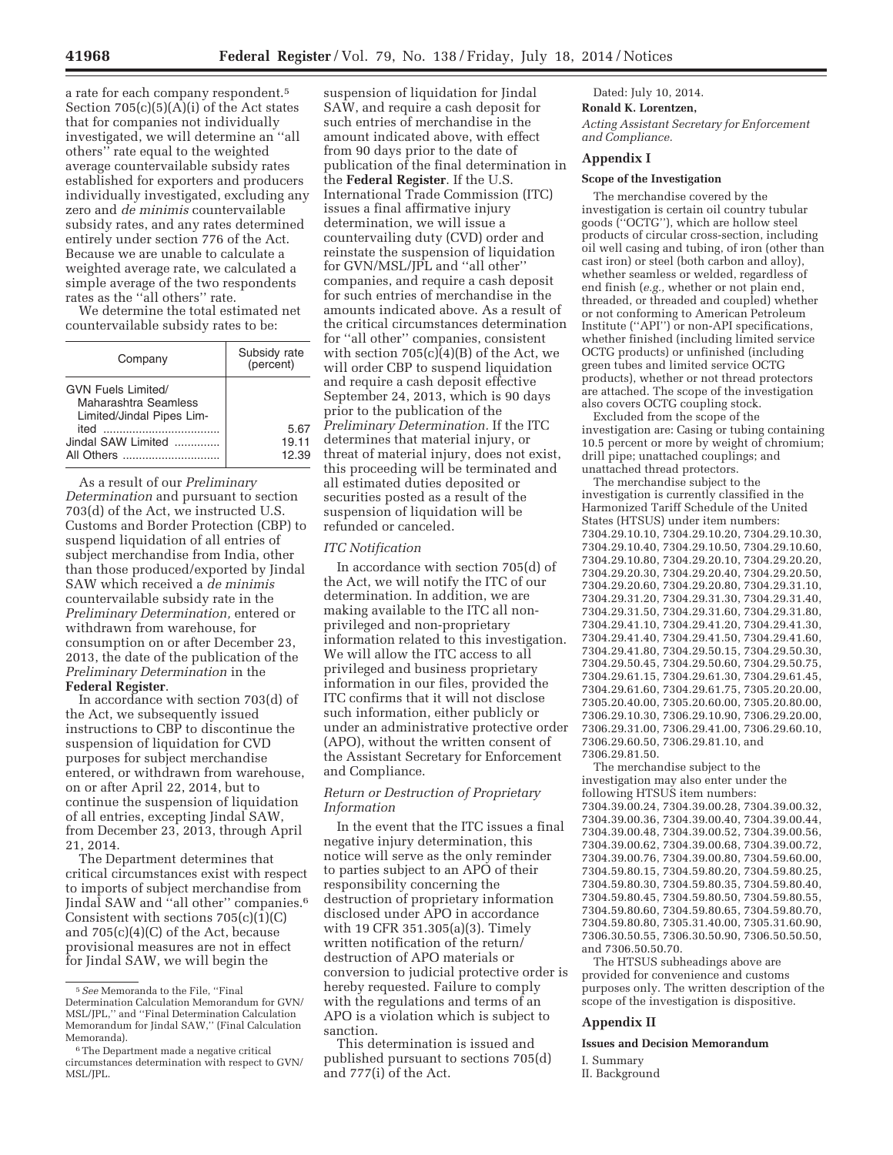a rate for each company respondent.5 Section 705(c)(5)(A)(i) of the Act states that for companies not individually investigated, we will determine an ''all others'' rate equal to the weighted average countervailable subsidy rates established for exporters and producers individually investigated, excluding any zero and *de minimis* countervailable subsidy rates, and any rates determined entirely under section 776 of the Act. Because we are unable to calculate a weighted average rate, we calculated a simple average of the two respondents rates as the ''all others'' rate.

We determine the total estimated net countervailable subsidy rates to be:

| Company                                                                                               | Subsidy rate<br>(percent) |
|-------------------------------------------------------------------------------------------------------|---------------------------|
| GVN Fuels Limited/<br>Maharashtra Seamless<br>Limited/Jindal Pipes Lim-<br>heti<br>Jindal SAW Limited | 5.67<br>19.11<br>12.39    |

As a result of our *Preliminary Determination* and pursuant to section 703(d) of the Act, we instructed U.S. Customs and Border Protection (CBP) to suspend liquidation of all entries of subject merchandise from India, other than those produced/exported by Jindal SAW which received a *de minimis*  countervailable subsidy rate in the *Preliminary Determination,* entered or withdrawn from warehouse, for consumption on or after December 23, 2013, the date of the publication of the *Preliminary Determination* in the **Federal Register**.

In accordance with section 703(d) of the Act, we subsequently issued instructions to CBP to discontinue the suspension of liquidation for CVD purposes for subject merchandise entered, or withdrawn from warehouse, on or after April 22, 2014, but to continue the suspension of liquidation of all entries, excepting Jindal SAW, from December 23, 2013, through April 21, 2014.

The Department determines that critical circumstances exist with respect to imports of subject merchandise from Jindal SAW and ''all other'' companies.6 Consistent with sections  $705(c)(1)(C)$ and 705(c)(4)(C) of the Act, because provisional measures are not in effect for Jindal SAW, we will begin the

suspension of liquidation for Jindal SAW, and require a cash deposit for such entries of merchandise in the amount indicated above, with effect from 90 days prior to the date of publication of the final determination in the **Federal Register**. If the U.S. International Trade Commission (ITC) issues a final affirmative injury determination, we will issue a countervailing duty (CVD) order and reinstate the suspension of liquidation for GVN/MSL/JPL and ''all other'' companies, and require a cash deposit for such entries of merchandise in the amounts indicated above. As a result of the critical circumstances determination for ''all other'' companies, consistent with section  $705(c)(4)(B)$  of the Act, we will order CBP to suspend liquidation and require a cash deposit effective September 24, 2013, which is 90 days prior to the publication of the *Preliminary Determination.* If the ITC determines that material injury, or threat of material injury, does not exist, this proceeding will be terminated and all estimated duties deposited or securities posted as a result of the suspension of liquidation will be refunded or canceled.

### *ITC Notification*

In accordance with section 705(d) of the Act, we will notify the ITC of our determination. In addition, we are making available to the ITC all nonprivileged and non-proprietary information related to this investigation. We will allow the ITC access to all privileged and business proprietary information in our files, provided the ITC confirms that it will not disclose such information, either publicly or under an administrative protective order (APO), without the written consent of the Assistant Secretary for Enforcement and Compliance.

## *Return or Destruction of Proprietary Information*

In the event that the ITC issues a final negative injury determination, this notice will serve as the only reminder to parties subject to an APO of their responsibility concerning the destruction of proprietary information disclosed under APO in accordance with 19 CFR 351.305(a)(3). Timely written notification of the return/ destruction of APO materials or conversion to judicial protective order is hereby requested. Failure to comply with the regulations and terms of an APO is a violation which is subject to sanction.

This determination is issued and published pursuant to sections 705(d) and 777(i) of the Act.

Dated: July 10, 2014.

#### **Ronald K. Lorentzen,**

*Acting Assistant Secretary for Enforcement and Compliance.* 

# **Appendix I**

### **Scope of the Investigation**

The merchandise covered by the investigation is certain oil country tubular goods (''OCTG''), which are hollow steel products of circular cross-section, including oil well casing and tubing, of iron (other than cast iron) or steel (both carbon and alloy), whether seamless or welded, regardless of end finish (*e.g.,* whether or not plain end, threaded, or threaded and coupled) whether or not conforming to American Petroleum Institute (''API'') or non-API specifications, whether finished (including limited service OCTG products) or unfinished (including green tubes and limited service OCTG products), whether or not thread protectors are attached. The scope of the investigation also covers OCTG coupling stock.

Excluded from the scope of the investigation are: Casing or tubing containing 10.5 percent or more by weight of chromium; drill pipe; unattached couplings; and unattached thread protectors.

The merchandise subject to the investigation is currently classified in the Harmonized Tariff Schedule of the United States (HTSUS) under item numbers: 7304.29.10.10, 7304.29.10.20, 7304.29.10.30, 7304.29.10.40, 7304.29.10.50, 7304.29.10.60, 7304.29.10.80, 7304.29.20.10, 7304.29.20.20, 7304.29.20.30, 7304.29.20.40, 7304.29.20.50, 7304.29.20.60, 7304.29.20.80, 7304.29.31.10, 7304.29.31.20, 7304.29.31.30, 7304.29.31.40, 7304.29.31.50, 7304.29.31.60, 7304.29.31.80, 7304.29.41.10, 7304.29.41.20, 7304.29.41.30, 7304.29.41.40, 7304.29.41.50, 7304.29.41.60, 7304.29.41.80, 7304.29.50.15, 7304.29.50.30, 7304.29.50.45, 7304.29.50.60, 7304.29.50.75, 7304.29.61.15, 7304.29.61.30, 7304.29.61.45, 7304.29.61.60, 7304.29.61.75, 7305.20.20.00, 7305.20.40.00, 7305.20.60.00, 7305.20.80.00, 7306.29.10.30, 7306.29.10.90, 7306.29.20.00, 7306.29.31.00, 7306.29.41.00, 7306.29.60.10, 7306.29.60.50, 7306.29.81.10, and 7306.29.81.50.

The merchandise subject to the investigation may also enter under the following HTSUS item numbers: 7304.39.00.24, 7304.39.00.28, 7304.39.00.32, 7304.39.00.36, 7304.39.00.40, 7304.39.00.44, 7304.39.00.48, 7304.39.00.52, 7304.39.00.56, 7304.39.00.62, 7304.39.00.68, 7304.39.00.72, 7304.39.00.76, 7304.39.00.80, 7304.59.60.00, 7304.59.80.15, 7304.59.80.20, 7304.59.80.25, 7304.59.80.30, 7304.59.80.35, 7304.59.80.40, 7304.59.80.45, 7304.59.80.50, 7304.59.80.55, 7304.59.80.60, 7304.59.80.65, 7304.59.80.70, 7304.59.80.80, 7305.31.40.00, 7305.31.60.90, 7306.30.50.55, 7306.30.50.90, 7306.50.50.50, and 7306.50.50.70.

The HTSUS subheadings above are provided for convenience and customs purposes only. The written description of the scope of the investigation is dispositive.

### **Appendix II**

**Issues and Decision Memorandum** 

I. Summary

II. Background

<sup>5</sup>*See* Memoranda to the File, ''Final Determination Calculation Memorandum for GVN/ MSL/JPL,'' and ''Final Determination Calculation Memorandum for Jindal SAW,'' (Final Calculation Memoranda).

<sup>6</sup>The Department made a negative critical circumstances determination with respect to GVN/ MSL/JPL.